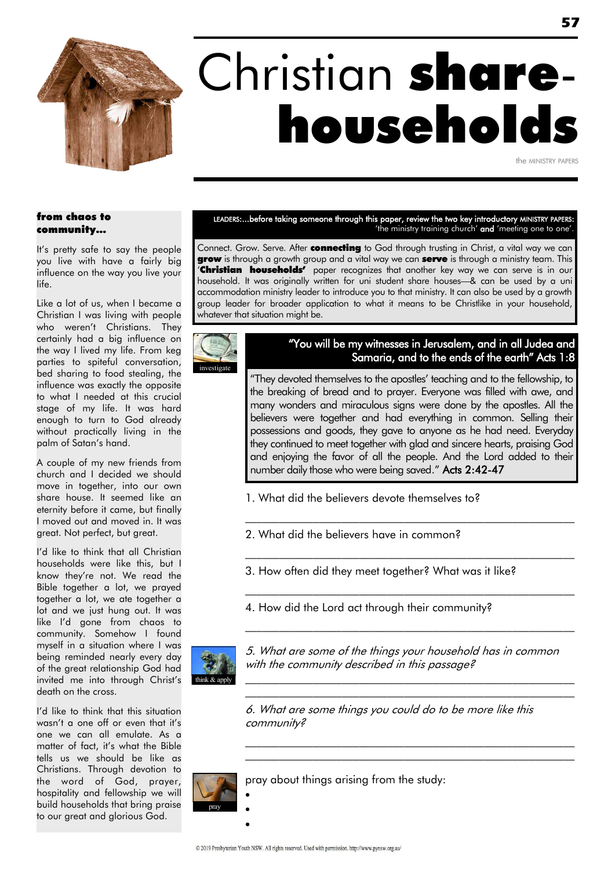

# Christian sharehouseholds

the MINISTRY PAPERS

#### from chaos to community…

It's pretty safe to say the people you live with have a fairly big influence on the way you live your life.

Like a lot of us, when I became a Christian I was living with people who weren't Christians. They certainly had a big influence on the way I lived my life. From keg parties to spiteful conversation, bed sharing to food stealing, the influence was exactly the opposite to what I needed at this crucial stage of my life. It was hard enough to turn to God already without practically living in the palm of Satan's hand.

A couple of my new friends from church and I decided we should move in together, into our own share house. It seemed like an eternity before it came, but finally I moved out and moved in. It was great. Not perfect, but great.

I'd like to think that all Christian households were like this, but I know they're not. We read the Bible together a lot, we prayed together a lot, we ate together a lot and we just hung out. It was like I'd gone from chaos to community. Somehow I found myself in a situation where I was being reminded nearly every day of the great relationship God had invited me into through Christ's death on the cross.

I'd like to think that this situation wasn't a one off or even that it's one we can all emulate. As a matter of fact, it's what the Bible tells us we should be like as Christians. Through devotion to the word of God, prayer, hospitality and fellowship we will build households that bring praise to our great and glorious God.

#### LEADERS:...before taking someone through this paper, review the two key introductory MINISTRY PAPERS: 'the ministry training church' and 'meeting one to one'.

Connect. Grow. Serve. After **connecting** to God through trusting in Christ, a vital way we can grow is through a growth group and a vital way we can serve is through a ministry team. This **'Christian households'** paper recognizes that another key way we can serve is in our household. It was originally written for uni student share houses—& can be used by a uni accommodation ministry leader to introduce you to that ministry. It can also be used by a growth group leader for broader application to what it means to be Christlike in your household, whatever that situation might be.



#### "You will be my witnesses in Jerusalem, and in all Judea and Samaria, and to the ends of the earth" Acts 1:8

"They devoted themselves to the apostles' teaching and to the fellowship, to the breaking of bread and to prayer. Everyone was filled with awe, and many wonders and miraculous signs were done by the apostles. All the believers were together and had everything in common. Selling their possessions and goods, they gave to anyone as he had need. Everyday they continued to meet together with glad and sincere hearts, praising God and enjoying the favor of all the people. And the Lord added to their number daily those who were being saved." Acts 2:42-47

\_\_\_\_\_\_\_\_\_\_\_\_\_\_\_\_\_\_\_\_\_\_\_\_\_\_\_\_\_\_\_\_\_\_\_\_\_\_\_\_\_\_\_\_\_\_\_\_\_\_\_\_\_\_\_\_\_\_

 $\mathcal{L}_\text{max}$  and the contract of the contract of the contract of the contract of the contract of the contract of the contract of the contract of the contract of the contract of the contract of the contract of the contrac

- 1. What did the believers devote themselves to?
- 2. What did the believers have in common?
- 3. How often did they meet together? What was it like?
- 4. How did the Lord act through their community?



5. What are some of the things your household has in common with the community described in this passage?

\_\_\_\_\_\_\_\_\_\_\_\_\_\_\_\_\_\_\_\_\_\_\_\_\_\_\_\_\_\_\_\_\_\_\_\_\_\_\_\_\_\_\_\_\_\_\_\_\_\_\_\_\_\_\_\_\_\_

 $\mathcal{L}_\text{max}$  and the contract of the contract of the contract of the contract of the contract of the contract of the contract of the contract of the contract of the contract of the contract of the contract of the contrac \_\_\_\_\_\_\_\_\_\_\_\_\_\_\_\_\_\_\_\_\_\_\_\_\_\_\_\_\_\_\_\_\_\_\_\_\_\_\_\_\_\_\_\_\_\_\_\_\_\_\_\_\_\_\_\_\_\_

 $\mathcal{L}_\text{max}$  and the contract of the contract of the contract of the contract of the contract of the contract of the contract of the contract of the contract of the contract of the contract of the contract of the contrac \_\_\_\_\_\_\_\_\_\_\_\_\_\_\_\_\_\_\_\_\_\_\_\_\_\_\_\_\_\_\_\_\_\_\_\_\_\_\_\_\_\_\_\_\_\_\_\_\_\_\_\_\_\_\_\_\_\_

6. What are some things you could do to be more like this community?



 $\bullet$  $\bullet$  $\bullet$ 

pray about things arising from the study: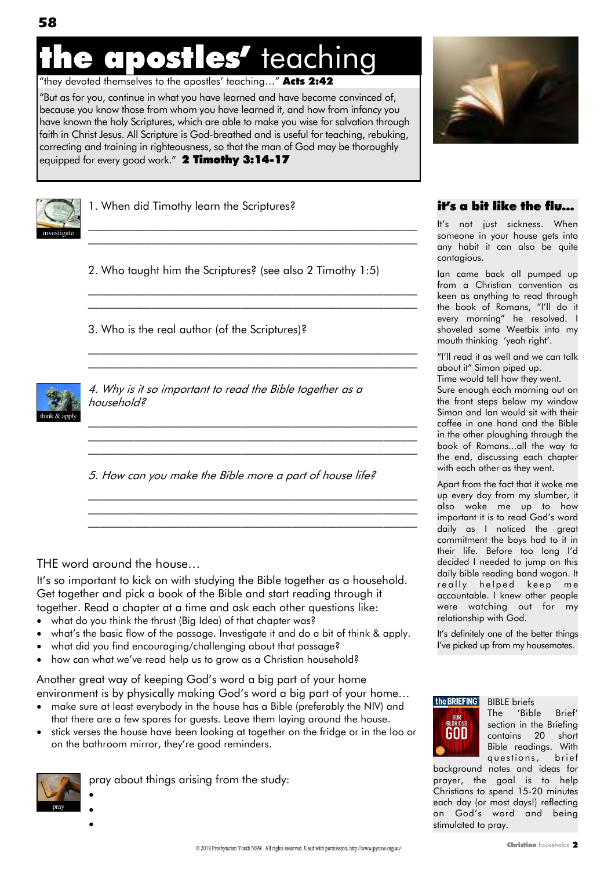### apostles' teaching

"they devoted themselves to the apostles' teaching..." **Acts 2:42** 

―But as for you, continue in what you have learned and have become convinced of, because you know those from whom you have learned it, and how from infancy you have known the holy Scriptures, which are able to make you wise for salvation through faith in Christ Jesus. All Scripture is God-breathed and is useful for teaching, rebuking, correcting and training in righteousness, so that the man of God may be thoroughly equipped for every good work." 2 Timothy 3:14-17



1. When did Timothy learn the Scriptures?

2. Who taught him the Scriptures? (see also 2 Timothy 1:5)

\_\_\_\_\_\_\_\_\_\_\_\_\_\_\_\_\_\_\_\_\_\_\_\_\_\_\_\_\_\_\_\_\_\_\_\_\_\_\_\_\_\_\_\_\_\_\_\_\_\_\_\_\_\_\_\_\_\_ \_\_\_\_\_\_\_\_\_\_\_\_\_\_\_\_\_\_\_\_\_\_\_\_\_\_\_\_\_\_\_\_\_\_\_\_\_\_\_\_\_\_\_\_\_\_\_\_\_\_\_\_\_\_\_\_\_\_

\_\_\_\_\_\_\_\_\_\_\_\_\_\_\_\_\_\_\_\_\_\_\_\_\_\_\_\_\_\_\_\_\_\_\_\_\_\_\_\_\_\_\_\_\_\_\_\_\_\_\_\_\_\_\_\_\_\_ \_\_\_\_\_\_\_\_\_\_\_\_\_\_\_\_\_\_\_\_\_\_\_\_\_\_\_\_\_\_\_\_\_\_\_\_\_\_\_\_\_\_\_\_\_\_\_\_\_\_\_\_\_\_\_\_\_\_

 $\mathcal{L}_\text{max}$  and the contract of the contract of the contract of the contract of the contract of the contract of \_\_\_\_\_\_\_\_\_\_\_\_\_\_\_\_\_\_\_\_\_\_\_\_\_\_\_\_\_\_\_\_\_\_\_\_\_\_\_\_\_\_\_\_\_\_\_\_\_\_\_\_\_\_\_\_\_\_

 $\mathcal{L}_\text{max}$  and the contract of the contract of the contract of the contract of the contract of the contract of  $\mathcal{L}_\text{max}$  and the contract of the contract of the contract of the contract of the contract of the contract of  $\mathcal{L}_\text{max}$  and the contract of the contract of the contract of the contract of the contract of the contract of

\_\_\_\_\_\_\_\_\_\_\_\_\_\_\_\_\_\_\_\_\_\_\_\_\_\_\_\_\_\_\_\_\_\_\_\_\_\_\_\_\_\_\_\_\_\_\_\_\_\_\_\_\_\_\_\_\_\_ \_\_\_\_\_\_\_\_\_\_\_\_\_\_\_\_\_\_\_\_\_\_\_\_\_\_\_\_\_\_\_\_\_\_\_\_\_\_\_\_\_\_\_\_\_\_\_\_\_\_\_\_\_\_\_\_\_\_  $\mathcal{L}_\text{max}$  and the contract of the contract of the contract of the contract of the contract of the contract of

3. Who is the real author (of the Scriptures)?



4. Why is it so important to read the Bible together as a household?

5. How can you make the Bible more a part of house life?

#### THE word around the house…

It's so important to kick on with studying the Bible together as a household. Get together and pick a book of the Bible and start reading through it together. Read a chapter at a time and ask each other questions like:

- what do you think the thrust (Big Idea) of that chapter was?
- what's the basic flow of the passage. Investigate it and do a bit of think & apply.
- what did you find encouraging/challenging about that passage?
- how can what we've read help us to grow as a Christian household?

Another great way of keeping God's word a big part of your home environment is by physically making God's word a big part of your home…

- make sure at least everybody in the house has a Bible (preferably the NIV) and that there are a few spares for guests. Leave them laying around the house.
- stick verses the house have been looking at together on the fridge or in the loo or on the bathroom mirror, they're good reminders.



 $\bullet$  $\bullet$  $\bullet$ 

pray about things arising from the study:



#### it's a bit like the flu…

It's not just sickness. When someone in your house gets into any habit it can also be quite contagious.

Ian came back all pumped up from a Christian convention as keen as anything to read through the book of Romans, "I'll do it every morning‖ he resolved. I shoveled some Weetbix into my mouth thinking ‗yeah right'.

"I'll read it as well and we can talk about it" Simon piped up.

Time would tell how they went. Sure enough each morning out on the front steps below my window Simon and Ian would sit with their coffee in one hand and the Bible in the other ploughing through the book of Romans...all the way to the end, discussing each chapter with each other as they went.

Apart from the fact that it woke me up every day from my slumber, it also woke me up to how important it is to read God's word daily as I noticed the great commitment the boys had to it in their life. Before too long I'd decided I needed to jump on this daily bible reading band wagon. It really helped keep me accountable. I knew other people were watching out for my relationship with God.

It's definitely one of the better things I've picked up from my housemates.



BIBLE briefs

The 'Bible Brief' section in the Briefing contains 20 short Bible readings. With questions, brief

background notes and ideas for prayer, the goal is to help Christians to spend 15-20 minutes each day (or most days!) reflecting on God's word and being stimulated to pray.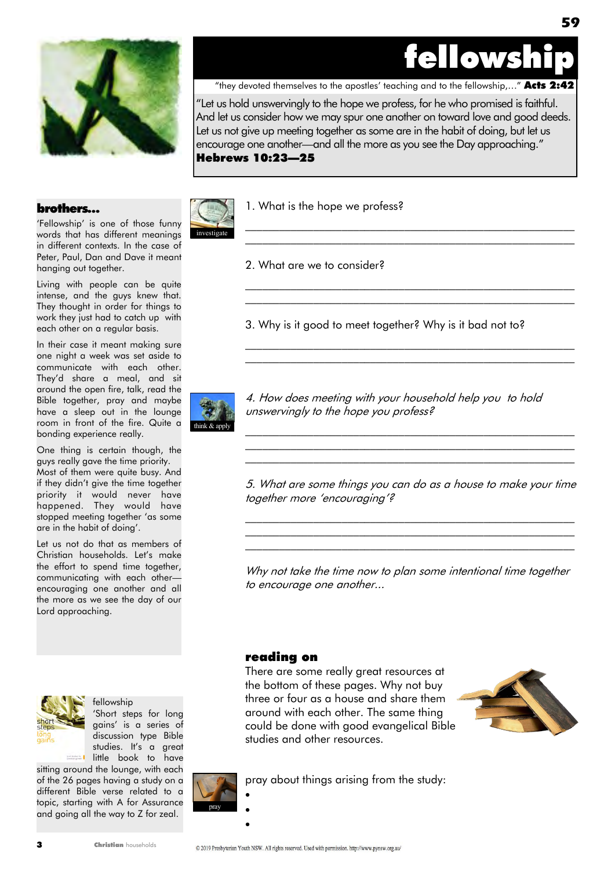

**59**



"they devoted themselves to the apostles' teaching and to the fellowship,..." **Acts 2:42** 

―Let us hold unswervingly to the hope we profess, for he who promised is faithful. And let us consider how we may spur one another on toward love and good deeds. Let us not give up meeting together as some are in the habit of doing, but let us encourage one another—and all the more as you see the Day approaching." Hebrews 10:23—25

#### brothers…

'Fellowship' is one of those funny words that has different meanings in different contexts. In the case of Peter, Paul, Dan and Dave it meant hanging out together.

Living with people can be quite intense, and the guys knew that. They thought in order for things to work they just had to catch up with each other on a regular basis.

In their case it meant making sure one night a week was set aside to communicate with each other. They'd share a meal, and sit around the open fire, talk, read the Bible together, pray and maybe have a sleep out in the lounge room in front of the fire. Quite a bonding experience really.

One thing is certain though, the guys really gave the time priority. Most of them were quite busy. And if they didn't give the time together priority it would never have happened. They would have stopped meeting together 'as some are in the habit of doing'.

Let us not do that as members of Christian households. Let's make the effort to spend time together, communicating with each other encouraging one another and all the more as we see the day of our Lord approaching.



fellowship 'Short steps for long gains' is a series of discussion type Bible studies. It's a great **Little book to have** 

sitting around the lounge, with each of the 26 pages having a study on a different Bible verse related to a topic, starting with A for Assurance and going all the way to Z for zeal.



1. What is the hope we profess?

2. What are we to consider?

3. Why is it good to meet together? Why is it bad not to?

\_\_\_\_\_\_\_\_\_\_\_\_\_\_\_\_\_\_\_\_\_\_\_\_\_\_\_\_\_\_\_\_\_\_\_\_\_\_\_\_\_\_\_\_\_\_\_\_\_\_\_\_\_\_\_\_\_\_ \_\_\_\_\_\_\_\_\_\_\_\_\_\_\_\_\_\_\_\_\_\_\_\_\_\_\_\_\_\_\_\_\_\_\_\_\_\_\_\_\_\_\_\_\_\_\_\_\_\_\_\_\_\_\_\_\_\_

\_\_\_\_\_\_\_\_\_\_\_\_\_\_\_\_\_\_\_\_\_\_\_\_\_\_\_\_\_\_\_\_\_\_\_\_\_\_\_\_\_\_\_\_\_\_\_\_\_\_\_\_\_\_\_\_\_\_  $\mathcal{L}_\text{max}$  and the contract of the contract of the contract of the contract of the contract of the contract of the contract of the contract of the contract of the contract of the contract of the contract of the contrac

\_\_\_\_\_\_\_\_\_\_\_\_\_\_\_\_\_\_\_\_\_\_\_\_\_\_\_\_\_\_\_\_\_\_\_\_\_\_\_\_\_\_\_\_\_\_\_\_\_\_\_\_\_\_\_\_\_\_ \_\_\_\_\_\_\_\_\_\_\_\_\_\_\_\_\_\_\_\_\_\_\_\_\_\_\_\_\_\_\_\_\_\_\_\_\_\_\_\_\_\_\_\_\_\_\_\_\_\_\_\_\_\_\_\_\_\_



4. How does meeting with your household help you to hold unswervingly to the hope you profess?

5. What are some things you can do as a house to make your time together more 'encouraging'?

 $\mathcal{L}_\text{max}$  and the contract of the contract of the contract of the contract of the contract of the contract of the contract of the contract of the contract of the contract of the contract of the contract of the contrac  $\mathcal{L}_\text{max}$  and the contract of the contract of the contract of the contract of the contract of the contract of the contract of the contract of the contract of the contract of the contract of the contract of the contrac \_\_\_\_\_\_\_\_\_\_\_\_\_\_\_\_\_\_\_\_\_\_\_\_\_\_\_\_\_\_\_\_\_\_\_\_\_\_\_\_\_\_\_\_\_\_\_\_\_\_\_\_\_\_\_\_\_\_

 $\mathcal{L}_\text{max}$  and the contract of the contract of the contract of the contract of the contract of the contract of the contract of the contract of the contract of the contract of the contract of the contract of the contrac \_\_\_\_\_\_\_\_\_\_\_\_\_\_\_\_\_\_\_\_\_\_\_\_\_\_\_\_\_\_\_\_\_\_\_\_\_\_\_\_\_\_\_\_\_\_\_\_\_\_\_\_\_\_\_\_\_\_ \_\_\_\_\_\_\_\_\_\_\_\_\_\_\_\_\_\_\_\_\_\_\_\_\_\_\_\_\_\_\_\_\_\_\_\_\_\_\_\_\_\_\_\_\_\_\_\_\_\_\_\_\_\_\_\_\_\_

Why not take the time now to plan some intentional time together to encourage one another...

#### reading on

There are some really great resources at the bottom of these pages. Why not buy three or four as a house and share them around with each other. The same thing could be done with good evangelical Bible studies and other resources.





 $\bullet$  $\bullet$  $\bullet$ 

pray about things arising from the study:

Christian households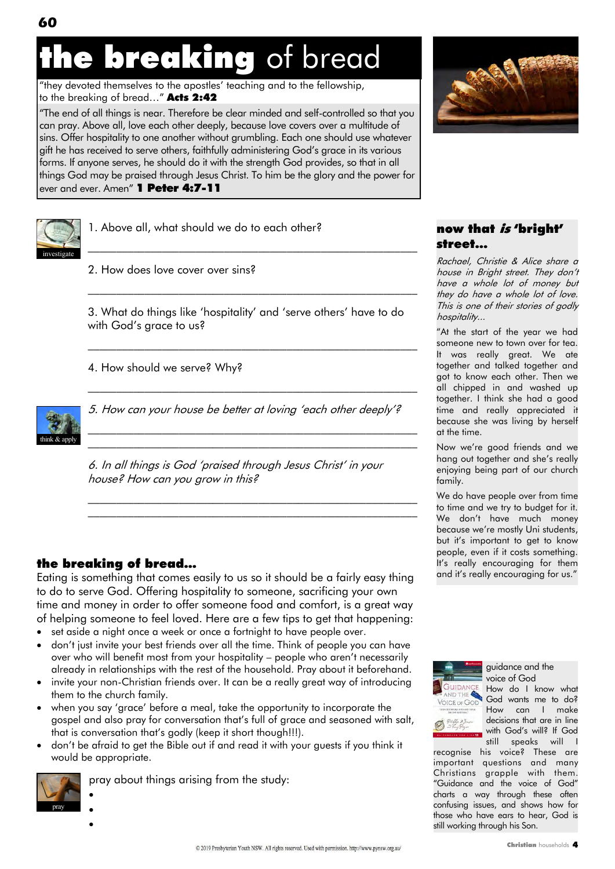## the breaking of bread

"they devoted themselves to the apostles' teaching and to the fellowship, to the breaking of bread..." Acts 2:42

―The end of all things is near. Therefore be clear minded and self-controlled so that you can pray. Above all, love each other deeply, because love covers over a multitude of sins. Offer hospitality to one another without grumbling. Each one should use whatever gift he has received to serve others, faithfully administering God's grace in its various forms. If anyone serves, he should do it with the strength God provides, so that in all things God may be praised through Jesus Christ. To him be the glory and the power for ever and ever. Amen" 1 Peter 4:7-11



1. Above all, what should we do to each other?

2. How does love cover over sins?

3. What do things like 'hospitality' and 'serve others' have to do with God's grace to us?

 $\mathcal{L}_\text{max}$  and the contract of the contract of the contract of the contract of the contract of the contract of the contract of the contract of the contract of the contract of the contract of the contract of the contrac

\_\_\_\_\_\_\_\_\_\_\_\_\_\_\_\_\_\_\_\_\_\_\_\_\_\_\_\_\_\_\_\_\_\_\_\_\_\_\_\_\_\_\_\_\_\_\_\_\_\_\_\_\_\_\_\_\_\_

\_\_\_\_\_\_\_\_\_\_\_\_\_\_\_\_\_\_\_\_\_\_\_\_\_\_\_\_\_\_\_\_\_\_\_\_\_\_\_\_\_\_\_\_\_\_\_\_\_\_\_\_\_\_\_\_\_\_

\_\_\_\_\_\_\_\_\_\_\_\_\_\_\_\_\_\_\_\_\_\_\_\_\_\_\_\_\_\_\_\_\_\_\_\_\_\_\_\_\_\_\_\_\_\_\_\_\_\_\_\_\_\_\_\_\_\_

 $\mathcal{L}_\text{max}$  and the contract of the contract of the contract of the contract of the contract of the contract of  $\mathcal{L}_\text{max}$  and the contract of the contract of the contract of the contract of the contract of the contract of

\_\_\_\_\_\_\_\_\_\_\_\_\_\_\_\_\_\_\_\_\_\_\_\_\_\_\_\_\_\_\_\_\_\_\_\_\_\_\_\_\_\_\_\_\_\_\_\_\_\_\_\_\_\_\_\_\_\_

4. How should we serve? Why?



5. How can your house be better at loving 'each other deeply'?

6. In all things is God ‗praised through Jesus Christ' in your house? How can you grow in this?

#### the breaking of bread…

Eating is something that comes easily to us so it should be a fairly easy thing to do to serve God. Offering hospitality to someone, sacrificing your own time and money in order to offer someone food and comfort, is a great way of helping someone to feel loved. Here are a few tips to get that happening:

- set aside a night once a week or once a fortnight to have people over.
- don't just invite your best friends over all the time. Think of people you can have over who will benefit most from your hospitality – people who aren't necessarily already in relationships with the rest of the household. Pray about it beforehand.
- invite your non-Christian friends over. It can be a really great way of introducing them to the church family.
- when you say 'grace' before a meal, take the opportunity to incorporate the gospel and also pray for conversation that's full of grace and seasoned with salt, that is conversation that's godly (keep it short though!!!).
- don't be afraid to get the Bible out if and read it with your guests if you think it would be appropriate.



pray about things arising from the study:

 $\bullet$  $\bullet$ 

 $\bullet$ 



#### now that *is* 'bright' street...

Rachael, Christie & Alice share a house in Bright street. They don't have a whole lot of money but they do have a whole lot of love. This is one of their stories of godly hospitality...

"At the start of the year we had someone new to town over for tea. It was really great. We ate together and talked together and got to know each other. Then we all chipped in and washed up together. I think she had a good time and really appreciated it because she was living by herself at the time.

Now we're good friends and we hang out together and she's really enjoying being part of our church family.

We do have people over from time to time and we try to budget for it. We don't have much money because we're mostly Uni students, but it's important to get to know people, even if it costs something. It's really encouraging for them and it's really encouraging for us."



guidance and the voice of God

How do I know what God wants me to do? How can I make decisions that are in line with God's will? If God still speaks will I

recognise his voice? These are important questions and many Christians grapple with them. "Guidance and the voice of God" charts a way through these often confusing issues, and shows how for those who have ears to hear, God is still working through his Son.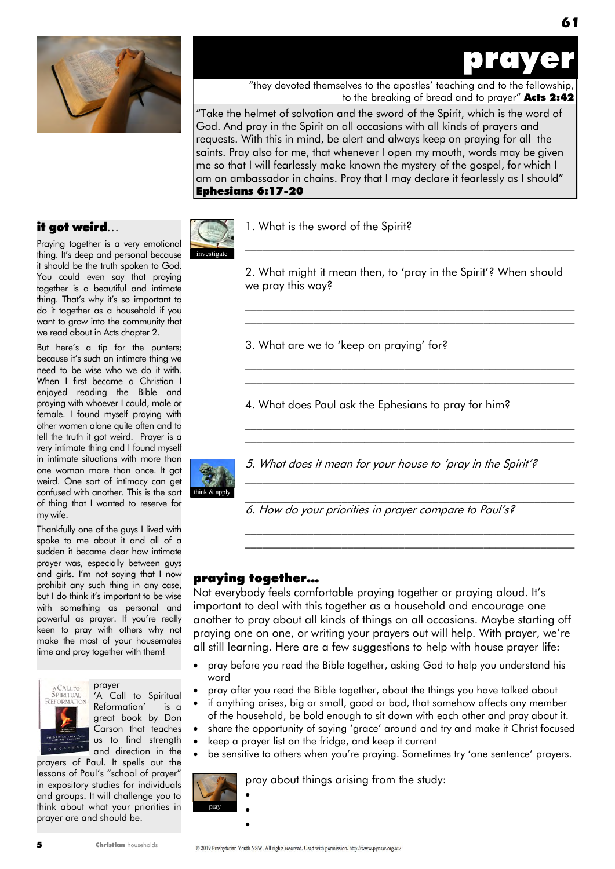

prayer

**61**

"they devoted themselves to the apostles' teaching and to the fellowship, to the breaking of bread and to prayer" Acts 2:42

―Take the helmet of salvation and the sword of the Spirit, which is the word of God. And pray in the Spirit on all occasions with all kinds of prayers and requests. With this in mind, be alert and always keep on praying for all the saints. Pray also for me, that whenever I open my mouth, words may be given me so that I will fearlessly make known the mystery of the gospel, for which I am an ambassador in chains. Pray that I may declare it fearlessly as I should" Ephesians 6:17-20

#### it got weird…

Praying together is a very emotional thing. It's deep and personal because it should be the truth spoken to God. You could even say that praying together is a beautiful and intimate thing. That's why it's so important to do it together as a household if you want to grow into the community that we read about in Acts chapter 2.

But here's a tip for the punters; because it's such an intimate thing we need to be wise who we do it with. When I first became a Christian I enjoyed reading the Bible and praying with whoever I could, male or female. I found myself praying with other women alone quite often and to tell the truth it got weird. Prayer is a very intimate thing and I found myself in intimate situations with more than one woman more than once. It got weird. One sort of intimacy can get confused with another. This is the sort of thing that I wanted to reserve for my wife.

Thankfully one of the guys I lived with spoke to me about it and all of a sudden it became clear how intimate prayer was, especially between guys and girls. I'm not saying that I now prohibit any such thing in any case, but I do think it's important to be wise with something as personal and powerful as prayer. If you're really keen to pray with others why not make the most of your housemates time and pray together with them!



#### prayer 'A Call to Spiritual

Reformation' is a great book by Don Carson that teaches us to find strength and direction in the

prayers of Paul. It spells out the lessons of Paul's "school of prayer" in expository studies for individuals and groups. It will challenge you to think about what your priorities in prayer are and should be.

Christian households



1. What is the sword of the Spirit?

2. What might it mean then, to 'pray in the Spirit'? When should we pray this way?

\_\_\_\_\_\_\_\_\_\_\_\_\_\_\_\_\_\_\_\_\_\_\_\_\_\_\_\_\_\_\_\_\_\_\_\_\_\_\_\_\_\_\_\_\_\_\_\_\_\_\_\_\_\_\_\_\_\_

 $\mathcal{L}_\text{max}$  and the contract of the contract of the contract of the contract of the contract of the contract of  $\mathcal{L}_\text{max}$  and the contract of the contract of the contract of the contract of the contract of the contract of

\_\_\_\_\_\_\_\_\_\_\_\_\_\_\_\_\_\_\_\_\_\_\_\_\_\_\_\_\_\_\_\_\_\_\_\_\_\_\_\_\_\_\_\_\_\_\_\_\_\_\_\_\_\_\_\_\_\_  $\mathcal{L}_\text{max}$  and the contract of the contract of the contract of the contract of the contract of the contract of

 $\mathcal{L}_\text{max}$  and the contract of the contract of the contract of the contract of the contract of the contract of  $\mathcal{L}_\text{max}$  and the contract of the contract of the contract of the contract of the contract of the contract of

 $\mathcal{L}_\text{max}$  and the contract of the contract of the contract of the contract of the contract of the contract of  $\mathcal{L}_\text{max}$  and the contract of the contract of the contract of the contract of the contract of the contract of

 $\mathcal{L}_\text{max}$  and the contract of the contract of the contract of the contract of the contract of the contract of  $\mathcal{L}_\text{max}$  and the contract of the contract of the contract of the contract of the contract of the contract of

3. What are we to 'keep on praying' for?

4. What does Paul ask the Ephesians to pray for him?



5. What does it mean for your house to 'pray in the Spirit'?

6. How do your priorities in prayer compare to Paul's?

#### praying together…

Not everybody feels comfortable praying together or praying aloud. It's important to deal with this together as a household and encourage one another to pray about all kinds of things on all occasions. Maybe starting off praying one on one, or writing your prayers out will help. With prayer, we're all still learning. Here are a few suggestions to help with house prayer life:

- pray before you read the Bible together, asking God to help you understand his word
- pray after you read the Bible together, about the things you have talked about
- if anything arises, big or small, good or bad, that somehow affects any member of the household, be bold enough to sit down with each other and pray about it.
- share the opportunity of saying 'grace' around and try and make it Christ focused keep a prayer list on the fridge, and keep it current
	-
- be sensitive to others when you're praying. Sometimes try 'one sentence' prayers.



pray about things arising from the study:

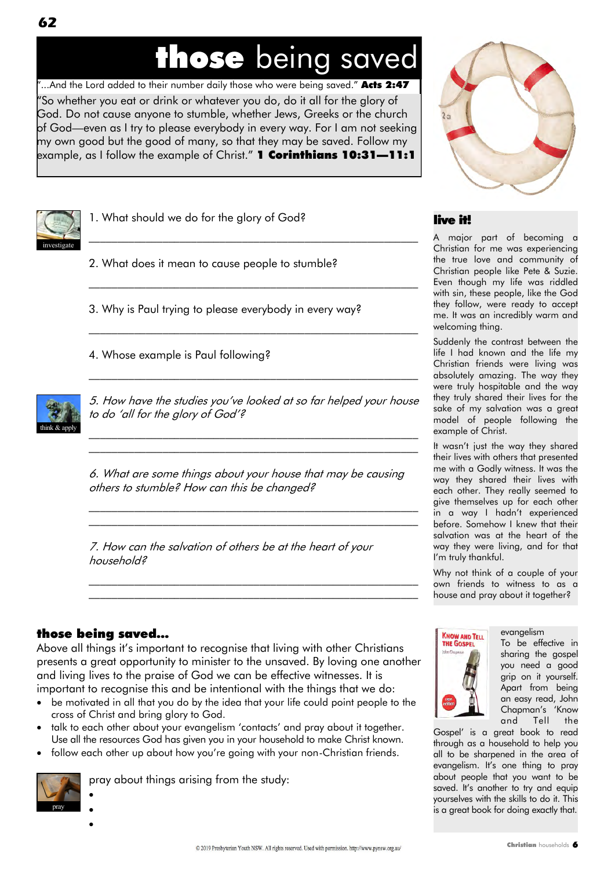### those being saved

―So whether you eat or drink or whatever you do, do it all for the glory of God. Do not cause anyone to stumble, whether Jews, Greeks or the church of God—even as I try to please everybody in every way. For I am not seeking my own good but the good of many, so that they may be saved. Follow my **e**xample, as I follow the example of Christ." **1 Corinthians 10:31—11:1** "...And the Lord added to their number daily those who were being saved." Acts 2:47



1. What should we do for the glory of God?

2. What does it mean to cause people to stumble?

3. Why is Paul trying to please everybody in every way?

4. Whose example is Paul following?



5. How have the studies you've looked at so far helped your house to do 'all for the glory of God'?

 $\mathcal{L}_\text{max}$  and the contract of the contract of the contract of the contract of the contract of the contract of \_\_\_\_\_\_\_\_\_\_\_\_\_\_\_\_\_\_\_\_\_\_\_\_\_\_\_\_\_\_\_\_\_\_\_\_\_\_\_\_\_\_\_\_\_\_\_\_\_\_\_\_\_\_\_\_\_\_

 $\mathcal{L}_\text{max}$  and the contract of the contract of the contract of the contract of the contract of the contract of

 $\mathcal{L}_\text{max}$  and the contract of the contract of the contract of the contract of the contract of the contract of

 $\mathcal{L}_\text{max}$  and the contract of the contract of the contract of the contract of the contract of the contract of

\_\_\_\_\_\_\_\_\_\_\_\_\_\_\_\_\_\_\_\_\_\_\_\_\_\_\_\_\_\_\_\_\_\_\_\_\_\_\_\_\_\_\_\_\_\_\_\_\_\_\_\_\_\_\_\_\_\_

6. What are some things about your house that may be causing others to stumble? How can this be changed?

 $\mathcal{L}_\text{max}$  and the contract of the contract of the contract of the contract of the contract of the contract of  $\mathcal{L}_\text{max}$  and the contract of the contract of the contract of the contract of the contract of the contract of

\_\_\_\_\_\_\_\_\_\_\_\_\_\_\_\_\_\_\_\_\_\_\_\_\_\_\_\_\_\_\_\_\_\_\_\_\_\_\_\_\_\_\_\_\_\_\_\_\_\_\_\_\_\_\_\_\_\_  $\mathcal{L}_\text{max}$  and the contract of the contract of the contract of the contract of the contract of the contract of

7. How can the salvation of others be at the heart of your household?

#### those being saved…

Above all things it's important to recognise that living with other Christians presents a great opportunity to minister to the unsaved. By loving one another and living lives to the praise of God we can be effective witnesses. It is important to recognise this and be intentional with the things that we do:

- be motivated in all that you do by the idea that your life could point people to the cross of Christ and bring glory to God.
- talk to each other about your evangelism 'contacts' and pray about it together. Use all the resources God has given you in your household to make Christ known.
- follow each other up about how you're going with your non-Christian friends.



 $\bullet$  $\bullet$  $\bullet$ 

pray about things arising from the study:



#### live it!

A major part of becoming a Christian for me was experiencing the true love and community of Christian people like Pete & Suzie. Even though my life was riddled with sin, these people, like the God they follow, were ready to accept me. It was an incredibly warm and welcoming thing.

Suddenly the contrast between the life I had known and the life my Christian friends were living was absolutely amazing. The way they were truly hospitable and the way they truly shared their lives for the sake of my salvation was a great model of people following the example of Christ.

It wasn't just the way they shared their lives with others that presented me with a Godly witness. It was the way they shared their lives with each other. They really seemed to give themselves up for each other in a way I hadn't experienced before. Somehow I knew that their salvation was at the heart of the way they were living, and for that I'm truly thankful.

Why not think of a couple of your own friends to witness to as a house and pray about it together?



To be effective in sharing the gospel you need a good grip on it yourself.

evangelism

Apart from being an easy read, John Chapman's ‗Know and Tell the

Gospel' is a great book to read through as a household to help you all to be sharpened in the area of evangelism. It's one thing to pray about people that you want to be saved. It's another to try and equip yourselves with the skills to do it. This is a great book for doing exactly that.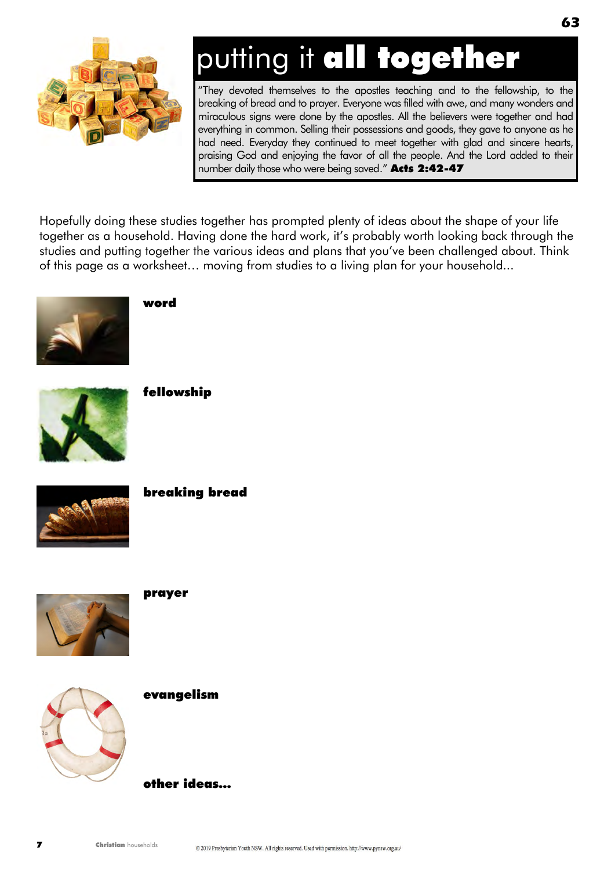

# putting it all together

―They devoted themselves to the apostles teaching and to the fellowship, to the breaking of bread and to prayer. Everyone was filled with awe, and many wonders and miraculous signs were done by the apostles. All the believers were together and had everything in common. Selling their possessions and goods, they gave to anyone as he had need. Everyday they continued to meet together with glad and sincere hearts, praising God and enjoying the favor of all the people. And the Lord added to their number daily those who were being saved." Acts 2:42-47

Hopefully doing these studies together has prompted plenty of ideas about the shape of your life together as a household. Having done the hard work, it's probably worth looking back through the studies and putting together the various ideas and plans that you've been challenged about. Think of this page as a worksheet… moving from studies to a living plan for your household...



word



fellowship



breaking bread



prayer



evangelism

other ideas...